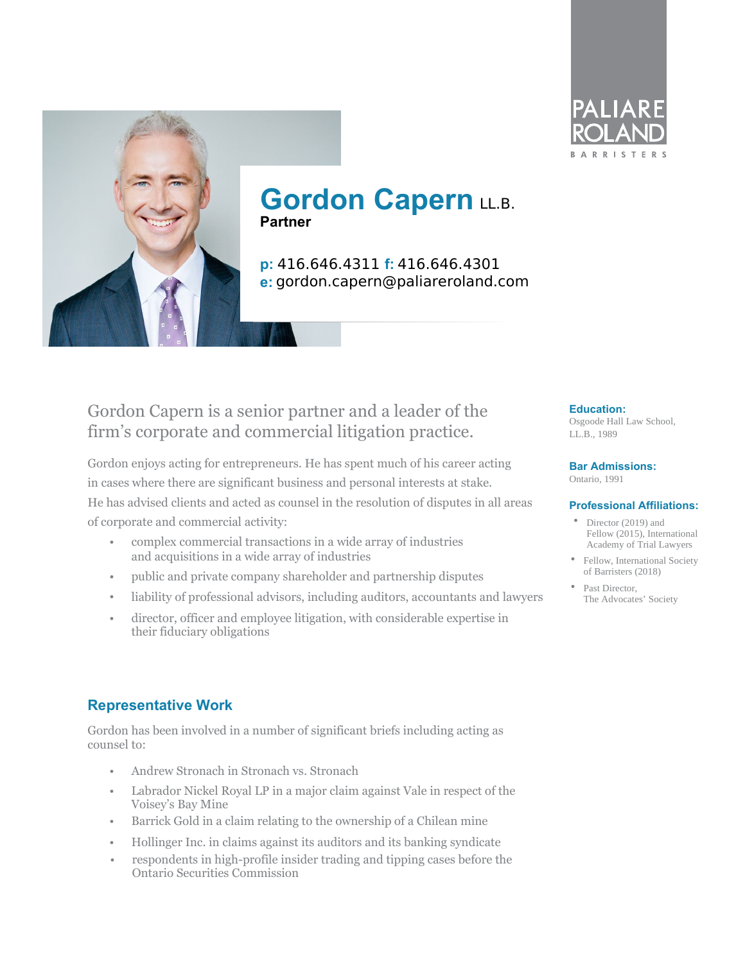



**p:** 416.646.4311 **f:** 416.646.4301 **e:** gordon.capern@paliareroland.com

## Gordon Capern is a senior partner and a leader of the firm's corporate and commercial litigation practice.

Gordon enjoys acting for entrepreneurs. He has spent much of his career acting in cases where there are significant business and personal interests at stake. He has advised clients and acted as counsel in the resolution of disputes in all areas of corporate and commercial activity:

- complex commercial transactions in a wide array of industries and acquisitions in a wide array of industries
- public and private company shareholder and partnership disputes
- liability of professional advisors, including auditors, accountants and lawyers
- director, officer and employee litigation, with considerable expertise in their fiduciary obligations

#### **Education:**

**ARRIS** 

Osgoode Hall Law School, LL.B., 1989

#### **Bar Admissions:**

Ontario, 1991

#### **Professional Affiliations:**

- Director (2019) and Fellow (2015), International Academy of Trial Lawyers
- Fellow, International Society of Barristers (2018)
- Past Director, The Advocates' Society

### **Representative Work**

Gordon has been involved in a number of significant briefs including acting as counsel to:

- Andrew Stronach in Stronach vs. Stronach •
- Labrador Nickel Royal LP in a major claim against Vale in respect of the Voisey's Bay Mine
- Barrick Gold in a claim relating to the ownership of a Chilean mine
- Hollinger Inc. in claims against its auditors and its banking syndicate
- respondents in high-profile insider trading and tipping cases before the Ontario Securities Commission